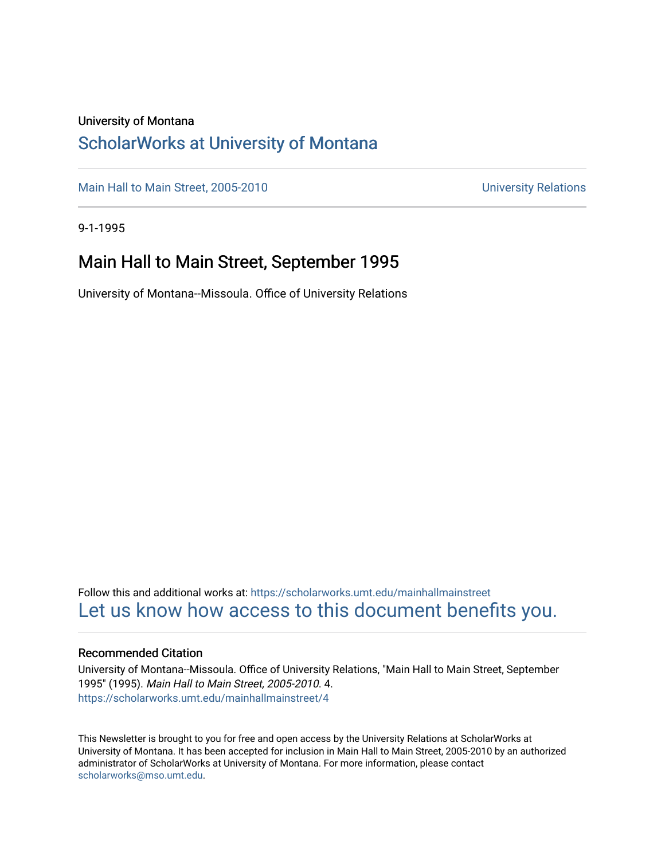### University of Montana

## [ScholarWorks at University of Montana](https://scholarworks.umt.edu/)

[Main Hall to Main Street, 2005-2010](https://scholarworks.umt.edu/mainhallmainstreet) Main Hall to Main Street, 2005-2010

9-1-1995

## Main Hall to Main Street, September 1995

University of Montana--Missoula. Office of University Relations

Follow this and additional works at: [https://scholarworks.umt.edu/mainhallmainstreet](https://scholarworks.umt.edu/mainhallmainstreet?utm_source=scholarworks.umt.edu%2Fmainhallmainstreet%2F4&utm_medium=PDF&utm_campaign=PDFCoverPages) [Let us know how access to this document benefits you.](https://goo.gl/forms/s2rGfXOLzz71qgsB2) 

### Recommended Citation

University of Montana--Missoula. Office of University Relations, "Main Hall to Main Street, September 1995" (1995). Main Hall to Main Street, 2005-2010. 4. [https://scholarworks.umt.edu/mainhallmainstreet/4](https://scholarworks.umt.edu/mainhallmainstreet/4?utm_source=scholarworks.umt.edu%2Fmainhallmainstreet%2F4&utm_medium=PDF&utm_campaign=PDFCoverPages) 

This Newsletter is brought to you for free and open access by the University Relations at ScholarWorks at University of Montana. It has been accepted for inclusion in Main Hall to Main Street, 2005-2010 by an authorized administrator of ScholarWorks at University of Montana. For more information, please contact [scholarworks@mso.umt.edu.](mailto:scholarworks@mso.umt.edu)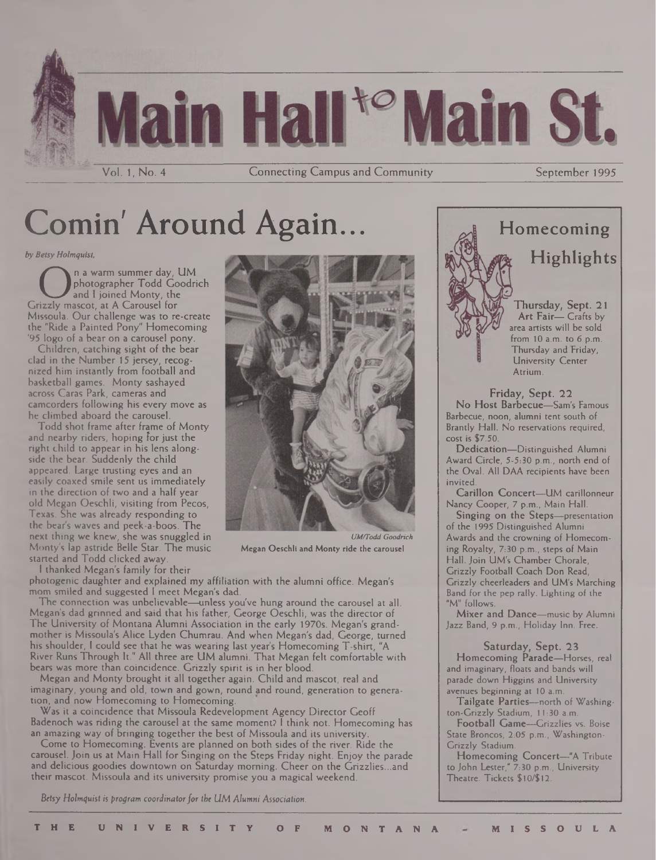

Comin' Around Again...

*by Betsy Holmquist,*

On a warm summer day,<br>
Grizzly mascot, at A Carousel for<br>
Grizzly mascot, at A Carousel for n a warm summer day, UM photographer Todd Goodrich and <sup>I</sup> joined Monty, the Missoula. Our challenge was to re-create the "Ride a Painted Pony" Homecoming '95 logo of a bear on a carousel pony.

Children, catching sight of the bear clad in the Number 15 jersey, recognized him instantly from football and basketball games. Monty sashayed across Caras Park, cameras and camcorders following his every move as he climbed aboard the carousel.

Todd shot frame after frame of Monty and nearby riders, hoping for just the right child to appear in his lens alongside the bear. Suddenly the child appeared. Large trusting eyes and an easily coaxed smile sent us immediately in the direction of two and a half year old Megan Oeschli, visiting from Pecos, Texas. She was already responding to the bear's waves and peek-a-boos. The next thing we knew, she was snuggled in Monty's lap astride Belle Star. The music started and Todd clicked away.

<sup>1</sup> thanked Megan's family for their



*UM/Todd Goodrich* Megan Oeschli and Monty ride the carousel

photogenic daughter and explained my affiliation with the alumni office. Megan's mom smiled and suggested <sup>I</sup> meet Megan's dad.

The connection was unbelievable—unless you've hung around the carousel at all. Megan's dad grinned and said that his father, George Oeschli, was the director of The University of Montana Alumni Association in the early 1970s. Megan's grandmother is Missoula's Alice Lyden Chumrau. And when Megan's dad, George, turned his shoulder, I could see that he was wearing last year's Homecoming T-shirt, "A River Runs Through It." All three are UM alumni. That Megan felt comfortable with bears was more than coincidence. Grizzly spirit is in her blood.

Megan and Monty brought it all together again. Child and mascot, real and imaginary, young and old, town and gown, round and round, generation to generation, and now Homecoming to Homecoming.

Was it a coincidence that Missoula Redevelopment Agency Director Geoff Badenoch was riding the carousel at the same moment? <sup>I</sup> think not. Homecoming has an amazing way of bringing together the best of Missoula and its university.

Come to Homecoming. Events are planned on both sides of the river. Ride the carousel. Join us at Main Hall for Singing on the Steps Friday night. Enjoy the parade and delicious goodies downtown on Saturday morning. Cheer on the Grizzlies...and their mascot. Missoula and its university promise you a magical weekend.

*Betsy Holmtfuist is program coordinatorforthe UM Alumni Association.*



Brandy Hall. No reservations required, cost is \$7.50. Dedication—Distinguished Alumni

Award Circle, 5-5:30 p.m., north end of the Oval. All DAA recipients have been invited.

Carillon Concert—UM carillonneur Nancy Cooper, 7 p.m., Main Hall.

Singing On the Steps—presentation of the 1995 Distinguished Alumni Awards and the crowning of Homecoming Royalty, 7:30 p.m., steps of Main Hall. Join UM's Chamber Chorale, Grizzly Football Coach Don Read, Grizzly cheerleaders and UM's Marching Band for the pep rally. Lighting of the "M" follows.

Mixer and Dance—music by Alumni Jazz Band, 9 p.m., Holiday Inn. Free.

Saturday, Sept. 23 Homecoming Parade—Horses, real and imaginary, floats and bands will parade down Higgins and University avenues beginning at 10 a.m.

Tailgate Parties—north of Washington-Grizzly Stadium, 11:30 a.m.

Football Game—Grizzlies vs. Boise State Broncos, 2:05 p.m., Washington-Grizzly Stadium.

Homecoming Concert—"A Tribute to John Lester," 7:30 p.m., University Theatre. Tickets \$10/\$12.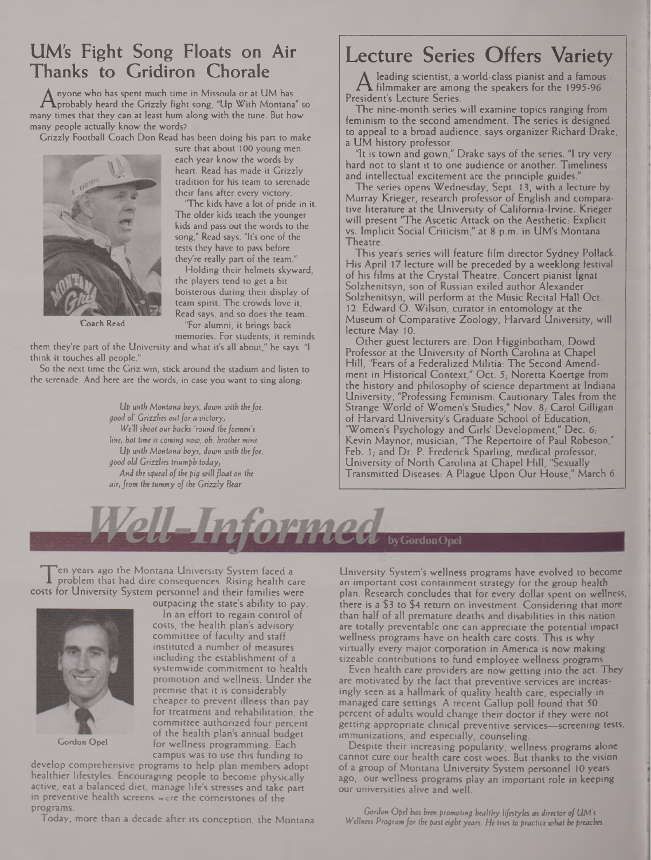## UM's Fight Song Floats on Air Thanks to Gridiron Chorale

**A** probably heard the Grizzly fight song, "Up With Montana" so<br>Iny times that they can at least hum along with the tune. But how nyone who has spent much time in Missoula or at UM has probably heard the Grizzly fight song, "Up With Montana" so many people actually know the words?

Grizzly Football Coach Don Read has been doing his part to make



**Coach Read**

sure that about 100 young men each year know the words by heart. Read has made it Grizzly tradition for his team to serenade their fans after every victory.

"The kids have a lot of pride in it. The older kids teach the younger kids and pass out the words to the song," Read says. "It's one of the tests they have to pass before they're really part of the team."

Holding their helmets skyward, the players tend to get a bit boisterous during their display of team spirit. The crowds love it, Read says, and so does the team. "For alumni, it brings back

memories. For students, it reminds them they're part of the University and what it's all about," he says. "I think it touches all people."

So the next time the Griz win, stick around the stadium and listen to the serenade. And here are the words, in case you want to sing along:

> *Up with Montana boys, down with thefoe, good ol' Grizzlies outfor a victory, Well shoot our backs 'round thefoemen's line, hot time is coming note, oh, brother mine. Up with Montana boys, down with thefoe, good old Grizzlies triumph today. And the squeal ofthe pig willfloat on the air, from the tummy of the Grizzly Bear.*

# Lecture Series Offers Variety

 $\prod_{\substack{e \text{side} \\ \square}}$ leading scientist, a world-class pianist and a famous filmmaker are among the speakers for the 1995-96 President's Lecture Series.

The nine-month series will examine topics ranging from feminism to the second amendment. The series is designed to appeal to a broad audience, says organizer Richard Drake, a UM history professor.

"It is town and gown," Drake says of the series. "I try very hard not to slant it to one audience or another. Timeliness and intellectual excitement are the principle guides.<sup>'</sup>

The series opens Wednesday, Sept. 13, with a lecture by Murray Krieger, research professor of English and comparative literature at the University of California-Irvine. Krieger will present "The Ascetic Attack on the Aesthetic: Explicit vs. Implicit Social Criticism," at 8 p.m. in UM's Montana Theatre.

This year's series will feature film director Sydney Pollack. His April 17 lecture will be preceded by a weeklong festival of his films at the Crystal Theatre. Concert pianist Ignat Solzhenitsyn, son of Russian exiled author Alexander Solzhenitsyn, will perform at the Music Recital Hall Oct. 12. Edward O. Wilson, curator in entomology at the Museum of Comparative Zoology, Harvard University, will lecture May 10.

Other guest lecturers are: Don Higginbotham, Dowd Professor at the University of North Carolina at Chapel Hill, 'Tears of a Federalized Militia: The Second Amendment in Historical Context," Oct. 5; Noretta Koertge from the history and philosophy of science department at Indiana University, "Professing Feminism: Cautionary Tales from the Strange World of Women's Studies," Nov. 8, Carol Gilligan of Harvard University's Graduate School of Education, 'Women's Psychology and Girls' Development," Dec. *6;* Kevin Maynor, musician, "The Repertoire of Paul Robeson," Feb. 1; and Dr. P. Frederick Sparling, medical professor, University of North Carolina at Chapel Hill, "Sexually Transmitted Diseases: A Plague Upon Our House," March 6.



I problem that had dire consequences. Rising health care<br>sts for University System personnel and their families were en years ago the Montana University System faced a problem that had dire consequences. Rising health care



outpacing the state's ability to pay. In an effort to regain control of costs, the health plan's advisory committee of faculty and staff instituted a number of measures including the establishment of a systemwide commitment to health promotion and wellness. Under the premise that it is considerably cheaper to prevent illness than pay for treatment and rehabilitation, the committee authorized four percent of the health plans annual budget for wellness programming. Each campus was to use this funding to

**Gordon Opel**

develop comprehensive programs to help plan members adopt healthier lifestyles. Encouraging people to become physically active, eat a balanced diet, manage life's stresses and take part in preventive health screens were the comerstones of the programs.

Today, more than a decade after its conception, the Montana

University System's wellness programs have evolved to become an important cost containment strategy for the group health plan. Research concludes that for every dollar spent on wellness, there is a \$3 to \$4 return on investment. Considering that more than half of all premature deaths and disabilities in this nation are totally preventable one can appreciate the potential impact wellness programs have on health care costs. This is why virtually every major corporation in America is now making sizeable contributions to fund employee wellness programs.

Even health care providers are now getting into the act. They are motivated by the fact that preventive services are increasingly seen as a hallmark of quality health care, especially in managed care settings. A recent Gallup poll found that 50 percent of adults would change their doctor if they were not getting appropriate clinical preventive services—screening tests, immunizations, and especially, counseling.

Despite their increasing popularity, wellness programs alone cannot cure our health care cost woes. But thanks to the vision of a group of Montana University System personnel 10 years ago, our wellness programs play an important role in keeping our universities alive and well.

**Gordon** *Opel has been promoting healthy lifestyles as director of UM's Wellness Programfor the past eight years. He trits to practice what be preaches.*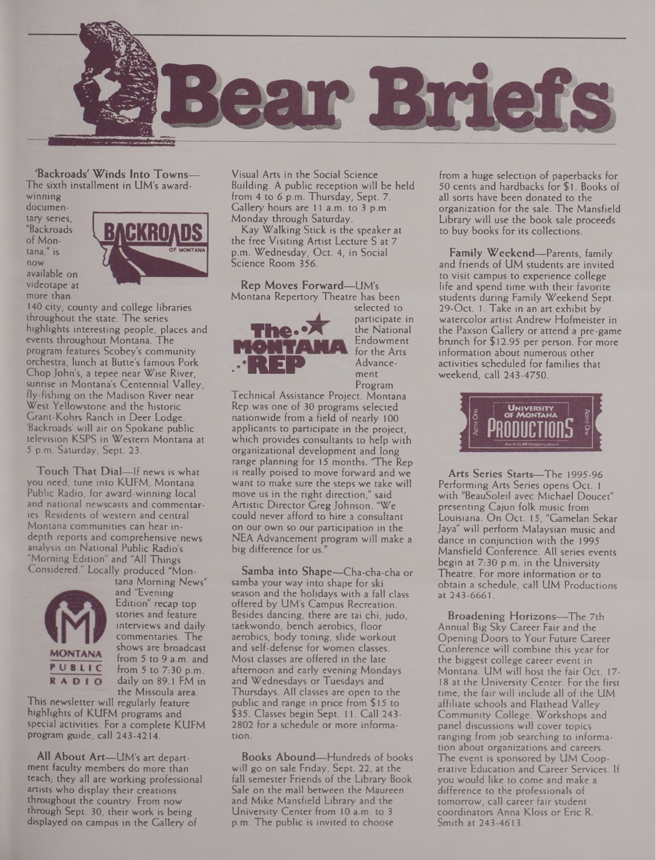

'Backroads' Winds Into Towns— The sixth installment in UM's award-

winning documentary series, "Backroads of Montana," is now available on videotane at more than



140 city, county and college libraries throughout the state. The series highlights interesting people, places and events throughout Montana. The program features Scobey's community orchestra, lunch at Butte's famous Pork Chop John's, a tepee near Wise River, sunrise in Montana's Centennial Valley, fly-fishing on the Madison River near West Yellowstone and the historic Grant-Kohrs Ranch in Deer Lodge. 'Backroads' will air on Spokane public television KSPS in Western Montana at 5 p.m. Saturday, Sept. 23.

Touch That Dial—If news is what you need, tune into KUFM, Montana Public Radio, for award-winning local and national newscasts and commentaries. Residents of western and central Montana communities can hear indepth reports and comprehensive news analysis on National Public Radio's "Morning Edition" and "All Things Considered." Locally produced "Mon-



tana Morning News" and "Evening Edition" recap top stories and feature interviews and daily commentaries. The shows are broadcast from 5 to 9 a.m. and from 5 to 7:30 p.m. daily on 89.1 FM in the Missoula area.

This newsletter will regularly feature highlights of KUFM programs and special activities. For a complete KUFM program guide, call 243-4214.

All About Art—UM's art department faculty members do more than teach, they all are working professional artists who display their creations throughout the country. From now through Sept. 30, their work is being displayed on campus in the Gallery of

Visual Arts in the Social Science Building. A public reception will be held from 4 to 6 p.m. Thursday, Sept. 7. Gallery hours are 11 a.m. to 3 p.m. Monday through Saturday.

Kay Walking Stick is the speaker at the free Visiting Artist Lecture S at 7 p.m. Wednesday, Oct. 4, in Social Science Room 356.

Rep Moves Forward—UM's Montana Repertory Theatre has been



selected to participate in the National Endowment<br>for the Arts ment Program

Technical Assistance Project. Montana Rep was one of 30 programs selected nationwide from a field of nearly 100 applicants to participate in the project, which provides consultants to help with organizational development and long range planning for 15 months. "The Rep is really poised to move forward and we want to make sure the steps we take will move us in the right direction," said Artistic Director Greg Johnson. "We could never afford to hire a consultant on our own so our participation in the NEA Advancement program will make a big difference for us."

Samba into Shape—Cha-cha-cha or samba your way into shape for ski season and the holidays with a fall class offered by UM's Campus Recreation. Besides dancing, there are tai chi, judo, taekwondo, bench aerobics, floor aerobics, body toning, slide workout and self-defense for women classes. Most classes are offered in the late afternoon and early evening Mondays and Wednesdays or Tuesdays and Thursdays. All classes are open to the public and range in price from \$15 to \$35. Classes begin Sept. 11. Call 243- 2802 for a schedule or more information.

Books Abound—Hundreds of books will go on sale Friday, Sept. 22, at the fall semester Friends of the Library Book Sale on the mail between the Maureen and Mike Mansfield Library and the University Center from 10 a.m. to 3 p.m. The public is invited to choose

from a huge selection of paperbacks for 50 cents and hardbacks for \$ 1. Books of all sorts have been donated to the organization for the sale. The Mansfield Library will use the book sale proceeds to buy books for its collections.

Family Weekend—Parents, family and friends of UM students are invited to visit campus to experience college life and spend time with their favorite students during Family Weekend Sept. 29-Oct. 1. Take in an art exhibit by watercolor artist Andrew Hofmeister in the Paxson Gallery or attend a pre-game brunch for \$12.95 per person. For more information about numerous other activities scheduled for families that weekend, call 243-4750.



Arts Series Starts—The 1995-96 Performing Arts Series opens Oct. <sup>1</sup> with "BeauSoleil avec Michael Doucet" presenting Cajun folk music from Louisiana. On Oct. 15, "Gamelan Sekar Jaya" will perform Malaysian music and dance in conjunction with the 1995 Mansfield Conference. All series events begin at 7:30 p.m. in the University Theatre. For more information or to obtain a schedule, call UM Productions at 243-6661.

Broadening Horizons—The 7th Annual Big Sky Career Fair and the Opening Doors to Your Future Career Conference will combine this year for the biggest college career event in Montana. UM will host the fair Oct. 17- 18 at the University Center. For the first time, the fair will include all of the UM affiliate schools and Flathead Valley Community College. Workshops and panel discussions will cover topics ranging from job searching to information about organizations and careers. The event is sponsored by UM Cooperative Education and Career Services. If you would like to come and make a difference to the professionals of tomorrow, call career fair student coordinators Anna Kloss or Eric R. Smith at 243-4613.